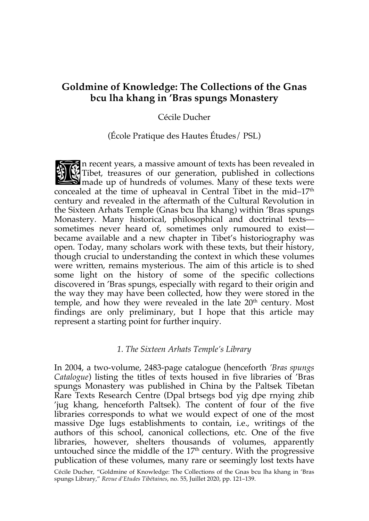# **Goldmine of Knowledge: The Collections of the Gnas bcu lha khang in 'Bras spungs Monastery**

## Cécile Ducher

## (École Pratique des Hautes Études/ PSL)

n recent years, a massive amount of texts has been revealed in Tibet, treasures of our generation, published in collections  $\mathbf S$  made up of hundreds of volumes. Many of these texts were concealed at the time of upheaval in Central Tibet in the mid– $17<sup>th</sup>$ century and revealed in the aftermath of the Cultural Revolution in the Sixteen Arhats Temple (Gnas bcu lha khang) within 'Bras spungs Monastery. Many historical, philosophical and doctrinal texts sometimes never heard of, sometimes only rumoured to exist became available and a new chapter in Tibet's historiography was open. Today, many scholars work with these texts, but their history, though crucial to understanding the context in which these volumes were written, remains mysterious. The aim of this article is to shed some light on the history of some of the specific collections discovered in 'Bras spungs, especially with regard to their origin and the way they may have been collected, how they were stored in the temple, and how they were revealed in the late 20<sup>th</sup> century. Most findings are only preliminary, but I hope that this article may represent a starting point for further inquiry. 新闻

## *1. The Sixteen Arhats Temple's Library*

In 2004, a two-volume, 2483-page catalogue (henceforth *'Bras spungs Catalogue*) listing the titles of texts housed in five libraries of 'Bras spungs Monastery was published in China by the Paltsek Tibetan Rare Texts Research Centre (Dpal brtsegs bod yig dpe rnying zhib 'jug khang, henceforth Paltsek). The content of four of the five libraries corresponds to what we would expect of one of the most massive Dge lugs establishments to contain, i.e., writings of the authors of this school, canonical collections, etc. One of the five libraries, however, shelters thousands of volumes, apparently untouched since the middle of the  $17<sup>th</sup>$  century. With the progressive publication of these volumes, many rare or seemingly lost texts have

Cécile Ducher, "Goldmine of Knowledge: The Collections of the Gnas bcu lha khang in 'Bras spungs Library," *Revue d'Etudes Tibétaines*, no. 55, Juillet 2020, pp. 121–139.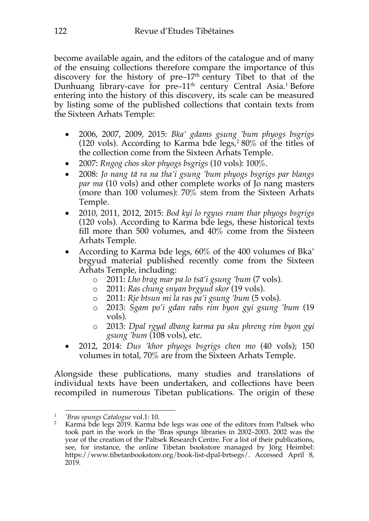become available again, and the editors of the catalogue and of many of the ensuing collections therefore compare the importance of this discovery for the history of pre– $17<sup>th</sup>$  century Tibet to that of the Dunhuang library-cave for pre–11<sup>th</sup> century Central Asia.<sup>1</sup> Before entering into the history of this discovery, its scale can be measured by listing some of the published collections that contain texts from the Sixteen Arhats Temple:

- 2006, 2007, 2009, 2015: *Bka' gdams gsung 'bum phyogs bsgrigs* (120 vols). According to Karma bde  $\text{legs},^280\%$  of the titles of the collection come from the Sixteen Arhats Temple.
- 2007: *Rngog chos skor phyogs bsgrigs* (10 vols): 100%.
- 2008: *Jo nang tā ra na tha'i gsung 'bum phyogs bsgrigs par blangs par ma* (10 vols) and other complete works of Jo nang masters (more than 100 volumes): 70% stem from the Sixteen Arhats Temple.
- 2010, 2011, 2012, 2015: *Bod kyi lo rgyus rnam thar phyogs bsgrigs* (120 vols). According to Karma bde legs, these historical texts fill more than 500 volumes, and 40% come from the Sixteen Arhats Temple.
- According to Karma bde legs, 60% of the 400 volumes of Bka' brgyud material published recently come from the Sixteen Arhats Temple, including:
	- o 2011: *Lho brag mar pa lo tsā'i gsung 'bum* (7 vols).
	- o 2011: *Ras chung snyan brgyud skor* (19 vols).
	- o 2011: *Rje btsun mi la ras pa'i gsung 'bum* (5 vols).
	- o 2013: *Sgam po'i gdan rabs rim byon gyi gsung 'bum* (19 vols).
	- o 2013: *Dpal rgyal dbang karma pa sku phreng rim byon gyi gsung 'bum* (108 vols), etc.
- 2012, 2014: *Dus 'khor phyogs bsgrigs chen mo* (40 vols); 150 volumes in total, 70% are from the Sixteen Arhats Temple.

Alongside these publications, many studies and translations of individual texts have been undertaken, and collections have been recompiled in numerous Tibetan publications. The origin of these

<sup>1</sup> *'Bras spungs Catalogue* vol.1: 10.

<sup>&</sup>lt;sup>2</sup> Karma bde legs 2019. Karma bde legs was one of the editors from Paltsek who took part in the work in the 'Bras spungs libraries in 2002–2003. 2002 was the year of the creation of the Paltsek Research Centre. For a list of their publications, see, for instance, the online Tibetan bookstore managed by Jörg Heimbel: https://www.tibetanbookstore.org/book-list-dpal-brtsegs/. Accessed April 8, 2019.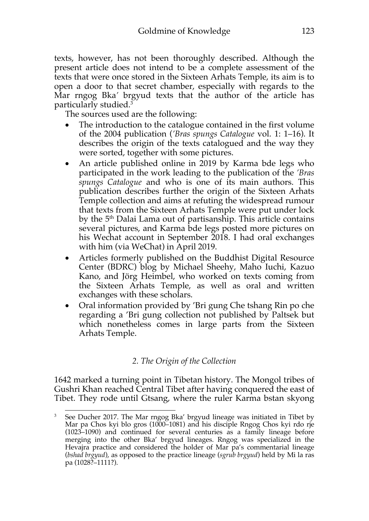texts, however, has not been thoroughly described. Although the present article does not intend to be a complete assessment of the texts that were once stored in the Sixteen Arhats Temple, its aim is to open a door to that secret chamber, especially with regards to the Mar rngog Bka*'* brgyud texts that the author of the article has particularly studied.3

The sources used are the following:

- The introduction to the catalogue contained in the first volume of the 2004 publication (*'Bras spungs Catalogue* vol. 1: 1–16). It describes the origin of the texts catalogued and the way they were sorted, together with some pictures.
- An article published online in 2019 by Karma bde legs who participated in the work leading to the publication of the *'Bras spungs Catalogue* and who is one of its main authors. This publication describes further the origin of the Sixteen Arhats Temple collection and aims at refuting the widespread rumour that texts from the Sixteen Arhats Temple were put under lock by the 5th Dalai Lama out of partisanship. This article contains several pictures, and Karma bde legs posted more pictures on his Wechat account in September 2018. I had oral exchanges with him (via WeChat) in April 2019.
- Articles formerly published on the Buddhist Digital Resource Center (BDRC) blog by Michael Sheehy, Maho Iuchi, Kazuo Kano, and Jörg Heimbel, who worked on texts coming from the Sixteen Arhats Temple, as well as oral and written exchanges with these scholars.
- Oral information provided by 'Bri gung Che tshang Rin po che regarding a 'Bri gung collection not published by Paltsek but which nonetheless comes in large parts from the Sixteen Arhats Temple.

# *2. The Origin of the Collection*

1642 marked a turning point in Tibetan history. The Mongol tribes of Gushri Khan reached Central Tibet after having conquered the east of Tibet. They rode until Gtsang, where the ruler Karma bstan skyong

<sup>3</sup> See Ducher 2017. The Mar rngog Bka' brgyud lineage was initiated in Tibet by Mar pa Chos kyi blo gros (1000–1081) and his disciple Rngog Chos kyi rdo rje (1023–1090) and continued for several centuries as a family lineage before merging into the other Bka' brgyud lineages. Rngog was specialized in the Hevajra practice and considered the holder of Mar pa's commentarial lineage (*bshad brgyud*), as opposed to the practice lineage (*sgrub brgyud*) held by Mi la ras pa (1028?–1111?).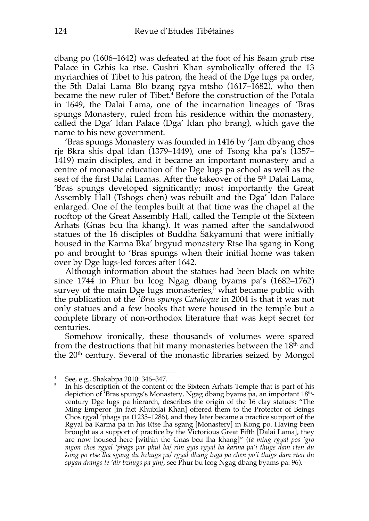dbang po (1606–1642) was defeated at the foot of his Bsam grub rtse Palace in Gzhis ka rtse. Gushri Khan symbolically offered the 13 myriarchies of Tibet to his patron, the head of the Dge lugs pa order, the 5th Dalai Lama Blo bzang rgya mtsho (1617–1682), who then became the new ruler of Tibet. <sup>4</sup> Before the construction of the Potala in 1649, the Dalai Lama, one of the incarnation lineages of 'Bras spungs Monastery, ruled from his residence within the monastery, called the Dga' ldan Palace (Dga' ldan pho brang), which gave the name to his new government.

'Bras spungs Monastery was founded in 1416 by 'Jam dbyang chos rje Bkra shis dpal ldan (1379–1449), one of Tsong kha pa's (1357– 1419) main disciples, and it became an important monastery and a centre of monastic education of the Dge lugs pa school as well as the seat of the first Dalai Lamas. After the takeover of the 5<sup>th</sup> Dalai Lama, 'Bras spungs developed significantly; most importantly the Great Assembly Hall (Tshogs chen) was rebuilt and the Dga' ldan Palace enlarged. One of the temples built at that time was the chapel at the rooftop of the Great Assembly Hall, called the Temple of the Sixteen Arhats (Gnas bcu lha khang). It was named after the sandalwood statues of the 16 disciples of Buddha Śākyamuni that were initially housed in the Karma Bka' brgyud monastery Rtse lha sgang in Kong po and brought to 'Bras spungs when their initial home was taken over by Dge lugs-led forces after 1642.

Although information about the statues had been black on white since 1744 in Phur bu lcog Ngag dbang byams pa's (1682–1762) survey of the main Dge lugs monasteries, 5 what became public with the publication of the *'Bras spungs Catalogue* in 2004 is that it was not only statues and a few books that were housed in the temple but a complete library of non-orthodox literature that was kept secret for centuries.

Somehow ironically, these thousands of volumes were spared from the destructions that hit many monasteries between the  $18<sup>th</sup>$  and the 20<sup>th</sup> century. Several of the monastic libraries seized by Mongol

<sup>4</sup> See, e.g., Shakabpa 2010: 346–347.

<sup>&</sup>lt;sup>5</sup> In his description of the content of the Sixteen Arhats Temple that is part of his depiction of 'Bras spungs's Monastery, Ngag dbang byams pa, an important 18thcentury Dge lugs pa hierarch, describes the origin of the 16 clay statues: "The Ming Emperor [in fact Khubilai Khan] offered them to the Protector of Beings Chos rgyal 'phags pa (1235–1286), and they later became a practice support of the Rgyal ba Karma pa in his Rtse lha sgang [Monastery] in Kong po. Having been brought as a support of practice by the Victorious Great Fifth [Dalai Lama], they are now housed here [within the Gnas bcu lha khang]" (*tā ming rgyal pos 'gro mgon chos rgyal 'phags par phul ba/ rim gyis rgyal ba karma pa'i thugs dam rten du kong po rtse lha sgang du bzhugs pa/ rgyal dbang lnga pa chen po'i thugs dam rten du spyan drangs te 'dir bzhugs pa yin/*, see Phur bu lcog Ngag dbang byams pa: 96).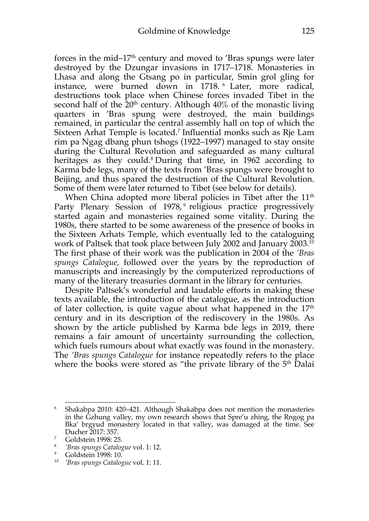forces in the mid–17<sup>th</sup> century and moved to 'Bras spungs were later destroyed by the Dzungar invasions in 1717–1718. Monasteries in Lhasa and along the Gtsang po in particular, Smin grol gling for instance, were burned down in 1718. <sup>6</sup> Later, more radical, destructions took place when Chinese forces invaded Tibet in the second half of the  $20<sup>th</sup>$  century. Although  $40\%$  of the monastic living quarters in 'Bras spung were destroyed, the main buildings remained, in particular the central assembly hall on top of which the Sixteen Arhat Temple is located.7 Influential monks such as Rje Lam rim pa Ngag dbang phun tshogs (1922–1997) managed to stay onsite during the Cultural Revolution and safeguarded as many cultural heritages as they could.<sup>8</sup> During that time, in 1962 according to Karma bde legs, many of the texts from 'Bras spungs were brought to Beijing, and thus spared the destruction of the Cultural Revolution. Some of them were later returned to Tibet (see below for details).

When China adopted more liberal policies in Tibet after the 11<sup>th</sup> Party Plenary Session of 1978,<sup>9</sup> religious practice progressively started again and monasteries regained some vitality. During the 1980s, there started to be some awareness of the presence of books in the Sixteen Arhats Temple, which eventually led to the cataloguing work of Paltsek that took place between July 2002 and January 2003. 10 The first phase of their work was the publication in 2004 of the *'Bras spungs Catalogue*, followed over the years by the reproduction of manuscripts and increasingly by the computerized reproductions of many of the literary treasuries dormant in the library for centuries.

Despite Paltsek's wonderful and laudable efforts in making these texts available, the introduction of the catalogue, as the introduction of later collection, is quite vague about what happened in the  $17<sup>th</sup>$ century and in its description of the rediscovery in the 1980s. As shown by the article published by Karma bde legs in 2019, there remains a fair amount of uncertainty surrounding the collection, which fuels rumours about what exactly was found in the monastery. The *'Bras spungs Catalogue* for instance repeatedly refers to the place where the books were stored as "the private library of the  $5<sup>th</sup>$  Dalai

<sup>6</sup> Shakabpa 2010: 420–421. Although Shakabpa does not mention the monasteries in the Gzhung valley, my own research shows that Spre'u zhing, the Rngog pa Bka' brgyud monastery located in that valley, was damaged at the time. See Ducher 2017: 357.

<sup>7</sup> Goldstein 1998: 25.

<sup>&</sup>lt;sup>8</sup> *'Bras spungs Catalogue* vol. 1: 12.<br><sup>9</sup> Goldstein 1998: 10

Goldstein 1998: 10. 10 *'Bras spungs Catalogue* vol. 1: 11.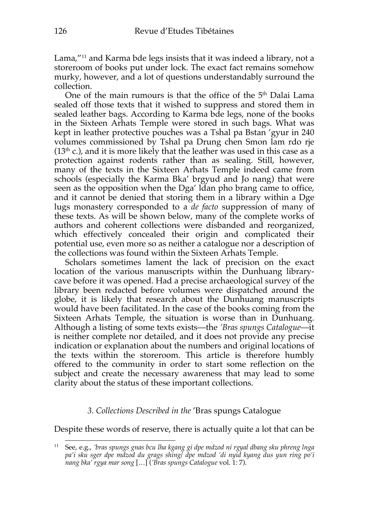Lama,"<sup>11</sup> and Karma bde legs insists that it was indeed a library, not a storeroom of books put under lock. The exact fact remains somehow murky, however, and a lot of questions understandably surround the collection.

One of the main rumours is that the office of the 5<sup>th</sup> Dalai Lama sealed off those texts that it wished to suppress and stored them in sealed leather bags. According to Karma bde legs, none of the books in the Sixteen Arhats Temple were stored in such bags. What was kept in leather protective pouches was a Tshal pa Bstan 'gyur in 240 volumes commissioned by Tshal pa Drung chen Smon lam rdo rje  $(13<sup>th</sup>$  c.), and it is more likely that the leather was used in this case as a protection against rodents rather than as sealing. Still, however, many of the texts in the Sixteen Arhats Temple indeed came from schools (especially the Karma Bka' brgyud and Jo nang) that were seen as the opposition when the Dga' ldan pho brang came to office, and it cannot be denied that storing them in a library within a Dge lugs monastery corresponded to a *de facto* suppression of many of these texts. As will be shown below, many of the complete works of authors and coherent collections were disbanded and reorganized, which effectively concealed their origin and complicated their potential use, even more so as neither a catalogue nor a description of the collections was found within the Sixteen Arhats Temple.

Scholars sometimes lament the lack of precision on the exact location of the various manuscripts within the Dunhuang librarycave before it was opened. Had a precise archaeological survey of the library been redacted before volumes were dispatched around the globe, it is likely that research about the Dunhuang manuscripts would have been facilitated. In the case of the books coming from the Sixteen Arhats Temple, the situation is worse than in Dunhuang. Although a listing of some texts exists—the *'Bras spungs Catalogue*—it is neither complete nor detailed, and it does not provide any precise indication or explanation about the numbers and original locations of the texts within the storeroom. This article is therefore humbly offered to the community in order to start some reflection on the subject and create the necessary awareness that may lead to some clarity about the status of these important collections.

## *3. Collections Described in the* 'Bras spungs Catalogue

Despite these words of reserve, there is actually quite a lot that can be

<sup>11</sup> See, e.g., *'bras spungs gnas bcu lha kgang gi dpe mdzod ni rgyal dbang sku phreng lnga pa'i sku sger dpe mdzod du grags shing/ dpe mdzod 'di nyid kyang dus yun ring po'i nang bka' rgya mar song* […] (*'Bras spungs Catalogue* vol. 1*:* 7).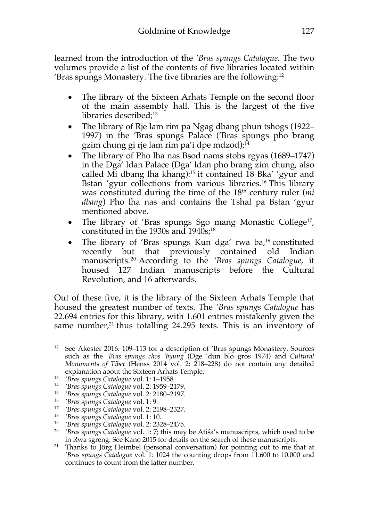learned from the introduction of the *'Bras spungs Catalogue*. The two volumes provide a list of the contents of five libraries located within 'Bras spungs Monastery. The five libraries are the following: 12

- The library of the Sixteen Arhats Temple on the second floor of the main assembly hall. This is the largest of the five libraries described; 13
- The library of Rje lam rim pa Ngag dbang phun tshogs (1922– 1997) in the 'Bras spungs Palace ('Bras spungs pho brang gzim chung gi rje lam rim pa'i dpe mdzod); $^{14}$
- The library of Pho lha nas Bsod nams stobs rgyas (1689–1747) in the Dga' ldan Palace (Dga' ldan pho brang zim chung, also called Mi dbang lha khang):15 it contained 18 Bka' 'gyur and Bstan 'gyur collections from various libraries.<sup>16</sup> This library was constituted during the time of the 18<sup>th</sup> century ruler (*mi dbang*) Pho lha nas and contains the Tshal pa Bstan 'gyur mentioned above.
- The library of 'Bras spungs Sgo mang Monastic College<sup>17</sup>, constituted in the 1930s and 1940s; 18
- The library of 'Bras spungs Kun dga' rwa ba,<sup>19</sup> constituted recently but that previously contained old Indian manuscripts. <sup>20</sup> According to the *'Bras spungs Catalogue*, it housed 127 Indian manuscripts before the Cultural Revolution, and 16 afterwards.

Out of these five, it is the library of the Sixteen Arhats Temple that housed the greatest number of texts. The *'Bras spungs Catalogue* has 22.694 entries for this library, with 1.601 entries mistakenly given the same number, $21$  thus totalling 24.295 texts. This is an inventory of

<sup>12</sup> See Akester 2016: 109–113 for a description of 'Bras spungs Monastery. Sources such as the *'Bras spungs chos 'byung* (Dge 'dun blo gros 1974) and *Cultural Monuments of Tibet* (Henss 2014 vol. 2: 218–228) do not contain any detailed explanation about the Sixteen Arhats Temple.

<sup>13</sup> *'Bras spungs Catalogue* vol. 1: 1–1958.

<sup>14</sup> *'Bras spungs Catalogue* vol. 2: 1959–2179.

<sup>15</sup> *'Bras spungs Catalogue* vol. 2: 2180–2197.

<sup>16</sup> *'Bras spungs Catalogue* vol. 1: 9.

<sup>17</sup> *'Bras spungs Catalogue* vol. 2: 2198–2327.

<sup>18</sup> *'Bras spungs Catalogue* vol. 1: 10.

<sup>19</sup> *'Bras spungs Catalogue* vol. 2: 2328–2475.

<sup>20</sup> *'Bras spungs Catalogue* vol. 1: 7; this may be Atiśa's manuscripts, which used to be in Rwa sgreng. See Kano 2015 for details on the search of these manuscripts.

<sup>&</sup>lt;sup>21</sup> Thanks to Jörg Heimbel (personal conversation) for pointing out to me that at *'Bras spungs Catalogue* vol. 1*:* 1024 the counting drops from 11.600 to 10.000 and continues to count from the latter number.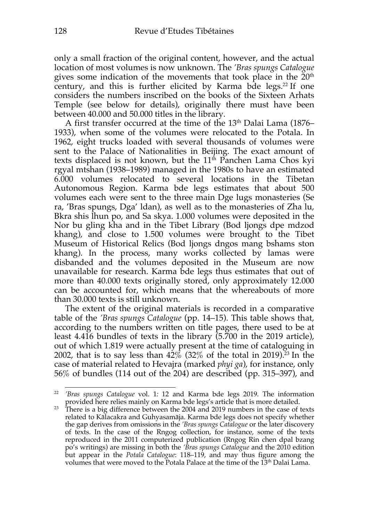only a small fraction of the original content, however, and the actual location of most volumes is now unknown. The *'Bras spungs Catalogue* gives some indication of the movements that took place in the  $20<sup>th</sup>$ century, and this is further elicited by Karma bde legs. <sup>22</sup> If one considers the numbers inscribed on the books of the Sixteen Arhats Temple (see below for details), originally there must have been between 40.000 and 50.000 titles in the library.

A first transfer occurred at the time of the  $13<sup>th</sup>$  Dalai Lama (1876– 1933), when some of the volumes were relocated to the Potala. In 1962, eight trucks loaded with several thousands of volumes were sent to the Palace of Nationalities in Beijing. The exact amount of texts displaced is not known, but the  $11<sup>th</sup>$  Panchen Lama Chos kyi rgyal mtshan (1938–1989) managed in the 1980s to have an estimated 6.000 volumes relocated to several locations in the Tibetan Autonomous Region. Karma bde legs estimates that about 500 volumes each were sent to the three main Dge lugs monasteries (Se ra, 'Bras spungs, Dga' ldan), as well as to the monasteries of Zha lu, Bkra shis lhun po, and Sa skya. 1.000 volumes were deposited in the Nor bu gling kha and in the Tibet Library (Bod ljongs dpe mdzod khang), and close to 1.500 volumes were brought to the Tibet Museum of Historical Relics (Bod ljongs dngos mang bshams ston khang). In the process, many works collected by lamas were disbanded and the volumes deposited in the Museum are now unavailable for research. Karma bde legs thus estimates that out of more than 40.000 texts originally stored, only approximately 12.000 can be accounted for, which means that the whereabouts of more than 30.000 texts is still unknown.

The extent of the original materials is recorded in a comparative table of the *'Bras spungs Catalogue* (pp. 14–15). This table shows that, according to the numbers written on title pages, there used to be at least 4.416 bundles of texts in the library (5.700 in the 2019 article), out of which 1.819 were actually present at the time of cataloguing in 2002, that is to say less than 42% (32% of the total in 2019). <sup>23</sup> In the case of material related to Hevajra (marked *phyi ga*), for instance, only 56% of bundles (114 out of the 204) are described (pp. 315–397), and

<sup>22</sup> *'Bras spungs Catalogue* vol. 1*:* 12 and Karma bde legs 2019. The information provided here relies mainly on Karma bde legs's article that is more detailed.

 $23$  There is a big difference between the 2004 and 2019 numbers in the case of texts related to Kālacakra and Guhyasamāja. Karma bde legs does not specify whether the gap derives from omissions in the *'Bras spungs Catalogue* or the later discovery of texts. In the case of the Rngog collection, for instance, some of the texts reproduced in the 2011 computerized publication (Rngog Rin chen dpal bzang po's writings) are missing in both the *'Bras spungs Catalogue* and the 2010 edition but appear in the *Potala Catalogue*: 118–119, and may thus figure among the volumes that were moved to the Potala Palace at the time of the 13<sup>th</sup> Dalai Lama.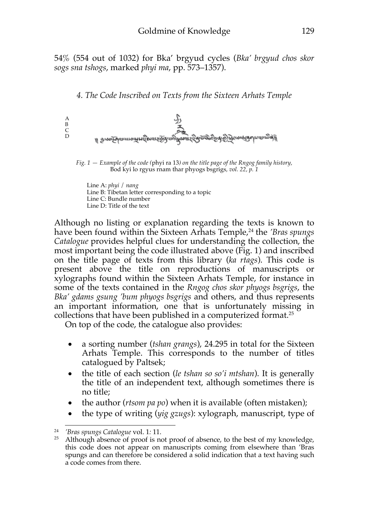54% (554 out of 1032) for Bka' brgyud cycles (*Bka' brgyud chos skor sogs sna tshogs*, marked *phyi ma*, pp. 573–1357).

*4. The Code Inscribed on Texts from the Sixteen Arhats Temple*



*Fig. 1 — Example of the code (*phyi ra 13*) on the title page of the Rngog family history,* Bod kyi lo rgyus rnam thar phyogs bsgrigs*, vol. 22, p. 1*

Line A: *phyi* / *nang* Line B: Tibetan letter corresponding to a topic Line C: Bundle number Line D: Title of the text

Although no listing or explanation regarding the texts is known to have been found within the Sixteen Arhats Temple,<sup>24</sup> the *'Bras spungs Catalogue* provides helpful clues for understanding the collection, the most important being the code illustrated above (Fig. 1) and inscribed on the title page of texts from this library (*ka rtags*). This code is present above the title on reproductions of manuscripts or xylographs found within the Sixteen Arhats Temple, for instance in some of the texts contained in the *Rngog chos skor phyogs bsgrigs*, the *Bka' gdams gsung 'bum phyogs bsgrigs* and others, and thus represents an important information, one that is unfortunately missing in collections that have been published in a computerized format. 25

On top of the code, the catalogue also provides:

- a sorting number (*tshan grangs*), 24.295 in total for the Sixteen Arhats Temple. This corresponds to the number of titles catalogued by Paltsek;
- the title of each section (*le tshan so so'i mtshan*). It is generally the title of an independent text, although sometimes there is no title;
- the author (*rtsom pa po*) when it is available (often mistaken);
- the type of writing (*yig gzugs*): xylograph, manuscript, type of

<sup>24</sup>*'Bras spungs Catalogue* vol. 1*:* 11. 25 Although absence of proof is not proof of absence, to the best of my knowledge, this code does not appear on manuscripts coming from elsewhere than 'Bras spungs and can therefore be considered a solid indication that a text having such a code comes from there.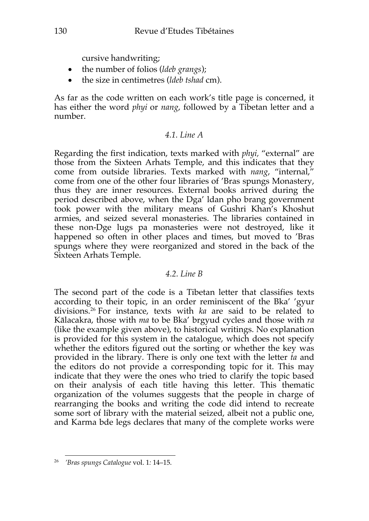cursive handwriting;

- the number of folios (*ldeb grangs*);
- the size in centimetres (*ldeb tshad* cm).

As far as the code written on each work's title page is concerned, it has either the word *phyi* or *nang*, followed by a Tibetan letter and a number.

# *4.1. Line A*

Regarding the first indication, texts marked with *phyi,* "external" are those from the Sixteen Arhats Temple, and this indicates that they come from outside libraries. Texts marked with *nang*, "internal," come from one of the other four libraries of 'Bras spungs Monastery, thus they are inner resources. External books arrived during the period described above, when the Dga' ldan pho brang government took power with the military means of Gushri Khan's Khoshut armies, and seized several monasteries. The libraries contained in these non-Dge lugs pa monasteries were not destroyed, like it happened so often in other places and times, but moved to 'Bras spungs where they were reorganized and stored in the back of the Sixteen Arhats Temple.

# *4.2. Line B*

The second part of the code is a Tibetan letter that classifies texts according to their topic, in an order reminiscent of the Bka' 'gyur divisions. <sup>26</sup> For instance, texts with *ka* are said to be related to Kālacakra, those with *ma* to be Bka' brgyud cycles and those with *ra*  (like the example given above), to historical writings. No explanation is provided for this system in the catalogue, which does not specify whether the editors figured out the sorting or whether the key was provided in the library. There is only one text with the letter *ta* and the editors do not provide a corresponding topic for it. This may indicate that they were the ones who tried to clarify the topic based on their analysis of each title having this letter. This thematic organization of the volumes suggests that the people in charge of rearranging the books and writing the code did intend to recreate some sort of library with the material seized, albeit not a public one, and Karma bde legs declares that many of the complete works were

<sup>26</sup> *'Bras spungs Catalogue* vol. 1*:* 14–15.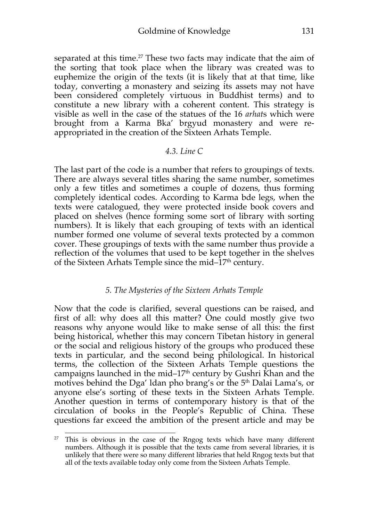separated at this time.<sup>27</sup> These two facts may indicate that the aim of the sorting that took place when the library was created was to euphemize the origin of the texts (it is likely that at that time, like today, converting a monastery and seizing its assets may not have been considered completely virtuous in Buddhist terms) and to constitute a new library with a coherent content. This strategy is visible as well in the case of the statues of the 16 *arhat*s which were brought from a Karma Bka' brgyud monastery and were reappropriated in the creation of the Sixteen Arhats Temple.

#### *4.3. Line C*

The last part of the code is a number that refers to groupings of texts. There are always several titles sharing the same number, sometimes only a few titles and sometimes a couple of dozens, thus forming completely identical codes. According to Karma bde legs, when the texts were catalogued, they were protected inside book covers and placed on shelves (hence forming some sort of library with sorting numbers). It is likely that each grouping of texts with an identical number formed one volume of several texts protected by a common cover. These groupings of texts with the same number thus provide a reflection of the volumes that used to be kept together in the shelves of the Sixteen Arhats Temple since the mid– $17<sup>th</sup>$  century.

## *5. The Mysteries of the Sixteen Arhats Temple*

Now that the code is clarified, several questions can be raised, and first of all: why does all this matter? One could mostly give two reasons why anyone would like to make sense of all this: the first being historical, whether this may concern Tibetan history in general or the social and religious history of the groups who produced these texts in particular, and the second being philological. In historical terms, the collection of the Sixteen Arhats Temple questions the campaigns launched in the mid– $17<sup>th</sup>$  century by Gushri Khan and the motives behind the Dga' ldan pho brang's or the 5<sup>th</sup> Dalai Lama's, or anyone else's sorting of these texts in the Sixteen Arhats Temple. Another question in terms of contemporary history is that of the circulation of books in the People's Republic of China. These questions far exceed the ambition of the present article and may be

<sup>&</sup>lt;sup>27</sup> This is obvious in the case of the Rngog texts which have many different numbers. Although it is possible that the texts came from several libraries, it is unlikely that there were so many different libraries that held Rngog texts but that all of the texts available today only come from the Sixteen Arhats Temple.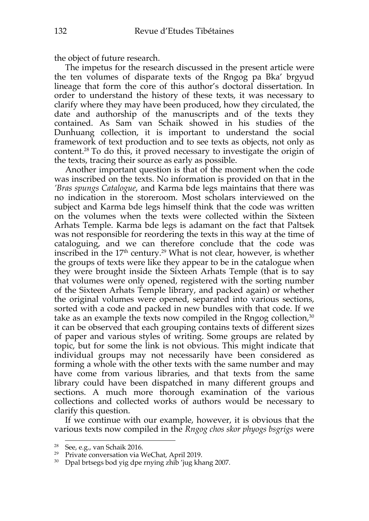the object of future research.

The impetus for the research discussed in the present article were the ten volumes of disparate texts of the Rngog pa Bka' brgyud lineage that form the core of this author's doctoral dissertation. In order to understand the history of these texts, it was necessary to clarify where they may have been produced, how they circulated, the date and authorship of the manuscripts and of the texts they contained. As Sam van Schaik showed in his studies of the Dunhuang collection, it is important to understand the social framework of text production and to see texts as objects, not only as content.28 To do this, it proved necessary to investigate the origin of the texts, tracing their source as early as possible.

Another important question is that of the moment when the code was inscribed on the texts. No information is provided on that in the *'Bras spungs Catalogue*, and Karma bde legs maintains that there was no indication in the storeroom. Most scholars interviewed on the subject and Karma bde legs himself think that the code was written on the volumes when the texts were collected within the Sixteen Arhats Temple. Karma bde legs is adamant on the fact that Paltsek was not responsible for reordering the texts in this way at the time of cataloguing, and we can therefore conclude that the code was inscribed in the 17<sup>th</sup> century.<sup>29</sup> What is not clear, however, is whether the groups of texts were like they appear to be in the catalogue when they were brought inside the Sixteen Arhats Temple (that is to say that volumes were only opened, registered with the sorting number of the Sixteen Arhats Temple library, and packed again) or whether the original volumes were opened, separated into various sections, sorted with a code and packed in new bundles with that code. If we take as an example the texts now compiled in the Rngog collection,<sup>30</sup> it can be observed that each grouping contains texts of different sizes of paper and various styles of writing. Some groups are related by topic, but for some the link is not obvious. This might indicate that individual groups may not necessarily have been considered as forming a whole with the other texts with the same number and may have come from various libraries, and that texts from the same library could have been dispatched in many different groups and sections. A much more thorough examination of the various collections and collected works of authors would be necessary to clarify this question.

If we continue with our example, however, it is obvious that the various texts now compiled in the *Rngog chos skor phyogs bsgrigs* were

<sup>28</sup> See, e.g., van Schaik 2016.

<sup>29</sup> Private conversation via WeChat, April 2019.

 $30$  Dpal brtsegs bod yig dpe rnying zhib 'jug khang 2007.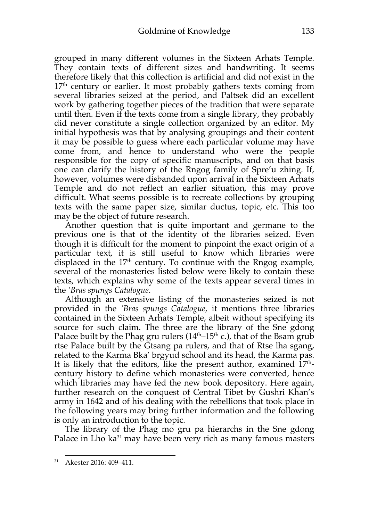grouped in many different volumes in the Sixteen Arhats Temple. They contain texts of different sizes and handwriting. It seems therefore likely that this collection is artificial and did not exist in the  $17<sup>th</sup>$  century or earlier. It most probably gathers texts coming from several libraries seized at the period, and Paltsek did an excellent work by gathering together pieces of the tradition that were separate until then. Even if the texts come from a single library, they probably did never constitute a single collection organized by an editor. My initial hypothesis was that by analysing groupings and their content it may be possible to guess where each particular volume may have come from, and hence to understand who were the people responsible for the copy of specific manuscripts, and on that basis one can clarify the history of the Rngog family of Spre'u zhing. If, however, volumes were disbanded upon arrival in the Sixteen Arhats Temple and do not reflect an earlier situation, this may prove difficult. What seems possible is to recreate collections by grouping texts with the same paper size, similar ductus, topic, etc. This too may be the object of future research.

Another question that is quite important and germane to the previous one is that of the identity of the libraries seized. Even though it is difficult for the moment to pinpoint the exact origin of a particular text, it is still useful to know which libraries were displaced in the  $17<sup>th</sup>$  century. To continue with the Rngog example, several of the monasteries listed below were likely to contain these texts, which explains why some of the texts appear several times in the *'Bras spungs Catalogue*.

Although an extensive listing of the monasteries seized is not provided in the *'Bras spungs Catalogue*, it mentions three libraries contained in the Sixteen Arhats Temple, albeit without specifying its source for such claim. The three are the library of the Sne gdong Palace built by the Phag gru rulers ( $14<sup>th</sup>-15<sup>th</sup>$  c.), that of the Bsam grub rtse Palace built by the Gtsang pa rulers, and that of Rtse lha sgang, related to the Karma Bka' brgyud school and its head, the Karma pas. It is likely that the editors, like the present author, examined  $17<sup>th</sup>$ century history to define which monasteries were converted, hence which libraries may have fed the new book depository. Here again, further research on the conquest of Central Tibet by Gushri Khan's army in 1642 and of his dealing with the rebellions that took place in the following years may bring further information and the following is only an introduction to the topic.

The library of the Phag mo gru pa hierarchs in the Sne gdong Palace in Lho ka<sup>31</sup> may have been very rich as many famous masters

<sup>31</sup> Akester 2016: 409–411.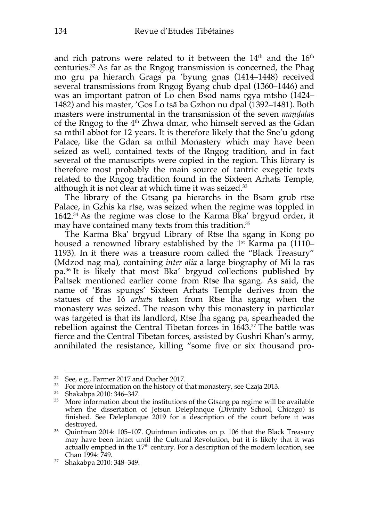and rich patrons were related to it between the 14<sup>th</sup> and the 16<sup>th</sup> centuries. $32$  As far as the Rngog transmission is concerned, the Phag mo gru pa hierarch Grags pa 'byung gnas (1414–1448) received several transmissions from Rngog Byang chub dpal (1360–1446) and was an important patron of Lo chen Bsod nams rgya mtsho (1424– 1482) and his master, 'Gos Lo tsā ba Gzhon nu dpal (1392–1481). Both masters were instrumental in the transmission of the seven *maṇḍala*s of the Rngog to the 4<sup>th</sup> Zhwa dmar, who himself served as the Gdan sa mthil abbot for 12 years. It is therefore likely that the Sne'u gdong Palace, like the Gdan sa mthil Monastery which may have been seized as well, contained texts of the Rngog tradition, and in fact several of the manuscripts were copied in the region. This library is therefore most probably the main source of tantric exegetic texts related to the Rngog tradition found in the Sixteen Arhats Temple, although it is not clear at which time it was seized. 33

The library of the Gtsang pa hierarchs in the Bsam grub rtse Palace, in Gzhis ka rtse, was seized when the regime was toppled in 1642.34 As the regime was close to the Karma Bka' brgyud order, it may have contained many texts from this tradition.<sup>35</sup>

The Karma Bka' brgyud Library of Rtse lha sgang in Kong po housed a renowned library established by the 1<sup>st</sup> Karma pa (1110– 1193). In it there was a treasure room called the "Black Treasury" (Mdzod nag ma), containing *inter alia* a large biography of Mi la ras pa.36 It is likely that most Bka' brgyud collections published by Paltsek mentioned earlier come from Rtse lha sgang. As said, the name of 'Bras spungs' Sixteen Arhats Temple derives from the statues of the 16 *arhat*s taken from Rtse lha sgang when the monastery was seized. The reason why this monastery in particular was targeted is that its landlord, Rtse lha sgang pa, spearheaded the rebellion against the Central Tibetan forces in  $1643.^{37}$  The battle was fierce and the Central Tibetan forces, assisted by Gushri Khan's army, annihilated the resistance, killing "some five or six thousand pro-

<sup>32</sup> See, e.g., Farmer 2017 and Ducher 2017.

<sup>&</sup>lt;sup>33</sup> For more information on the history of that monastery, see Czaja 2013.

 $34$  Shakabpa 2010: 346–347.<br> $35$  More information about

More information about the institutions of the Gtsang pa regime will be available when the dissertation of Jetsun Deleplanque (Divinity School, Chicago) is finished. See Deleplanque 2019 for a description of the court before it was destroyed.

<sup>36</sup> Quintman 2014: 105–107. Quintman indicates on p. 106 that the Black Treasury may have been intact until the Cultural Revolution, but it is likely that it was actually emptied in the  $17<sup>th</sup>$  century. For a description of the modern location, see Chan 1994: 749.

<sup>37</sup> Shakabpa 2010: 348–349.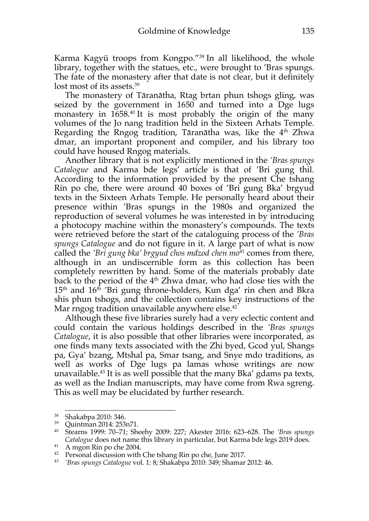Karma Kagyü troops from Kongpo."38 In all likelihood, the whole library, together with the statues, etc., were brought to 'Bras spungs. The fate of the monastery after that date is not clear, but it definitely lost most of its assets.<sup>39</sup>

The monastery of Tāranātha, Rtag brtan phun tshogs gling, was seized by the government in 1650 and turned into a Dge lugs monastery in 1658.<sup>40</sup> It is most probably the origin of the many volumes of the Jo nang tradition held in the Sixteen Arhats Temple. Regarding the Rngog tradition, Tāranātha was, like the  $4<sup>th</sup>$  Zhwa dmar, an important proponent and compiler, and his library too could have housed Rngog materials.

Another library that is not explicitly mentioned in the *'Bras spungs*  Catalogue and Karma bde legs<sup>'</sup> article is that of 'Bri gung thil. According to the information provided by the present Che tshang Rin po che, there were around 40 boxes of 'Bri gung Bka' brgyud texts in the Sixteen Arhats Temple. He personally heard about their presence within 'Bras spungs in the 1980s and organized the reproduction of several volumes he was interested in by introducing a photocopy machine within the monastery's compounds. The texts were retrieved before the start of the cataloguing process of the *'Bras spungs Catalogue* and do not figure in it. A large part of what is now called the *'Bri gung bka' brgyud chos mdzod chen mo*<sup>41</sup> comes from there, although in an undiscernible form as this collection has been completely rewritten by hand. Some of the materials probably date back to the period of the 4<sup>th</sup> Zhwa dmar, who had close ties with the  $15<sup>th</sup>$  and  $16<sup>th</sup>$  'Bri gung throne-holders, Kun dga' rin chen and Bkra shis phun tshogs, and the collection contains key instructions of the Mar rngog tradition unavailable anywhere else.<sup>42</sup>

Although these five libraries surely had a very eclectic content and could contain the various holdings described in the *'Bras spungs Catalogue*, it is also possible that other libraries were incorporated, as one finds many texts associated with the Zhi byed, Gcod yul, Shangs pa, Gya' bzang, Mtshal pa, Smar tsang, and Snye mdo traditions, as well as works of Dge lugs pa lamas whose writings are now unavailable.43 It is as well possible that the many Bka' gdams pa texts, as well as the Indian manuscripts, may have come from Rwa sgreng. This as well may be elucidated by further research.

<sup>&</sup>lt;sup>38</sup> Shakabpa 2010: 346.<br><sup>39</sup> Quintman 2014: 253n71.

<sup>39</sup> Quintman 2014: 253n71. 40 Stearns 1999: 70–71; Sheehy 2009: 227; Akester 2016: 623–628. The *'Bras spungs Catalogue* does not name this library in particular, but Karma bde legs 2019 does.<br><sup>41</sup> A mgon Rin po che 2004.

 $42$  Personal discussion with Che tshang Rin po che, June 2017.

<sup>43</sup> *'Bras spungs Catalogue* vol. 1*:* 8; Shakabpa 2010: 349; Shamar 2012: 46.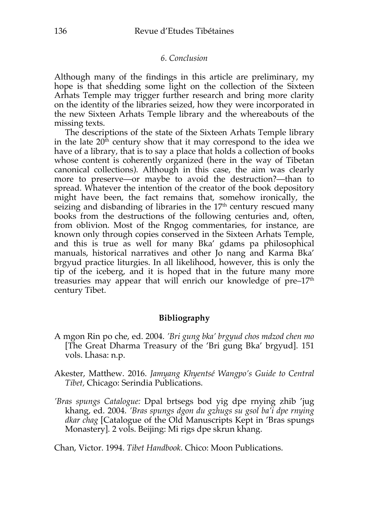#### *6. Conclusion*

Although many of the findings in this article are preliminary, my hope is that shedding some light on the collection of the Sixteen Arhats Temple may trigger further research and bring more clarity on the identity of the libraries seized, how they were incorporated in the new Sixteen Arhats Temple library and the whereabouts of the missing texts.

The descriptions of the state of the Sixteen Arhats Temple library in the late  $20<sup>th</sup>$  century show that it may correspond to the idea we have of a library, that is to say a place that holds a collection of books whose content is coherently organized (here in the way of Tibetan canonical collections). Although in this case, the aim was clearly more to preserve—or maybe to avoid the destruction?—than to spread. Whatever the intention of the creator of the book depository might have been, the fact remains that, somehow ironically, the seizing and disbanding of libraries in the  $17<sup>th</sup>$  century rescued many books from the destructions of the following centuries and, often, from oblivion. Most of the Rngog commentaries, for instance, are known only through copies conserved in the Sixteen Arhats Temple, and this is true as well for many Bka' gdams pa philosophical manuals, historical narratives and other Jo nang and Karma Bka' brgyud practice liturgies. In all likelihood, however, this is only the tip of the iceberg, and it is hoped that in the future many more treasuries may appear that will enrich our knowledge of  $pre-17<sup>th</sup>$ century Tibet.

## **Bibliography**

- A mgon Rin po che, ed. 2004. *'Bri gung bka' brgyud chos mdzod chen mo*  [The Great Dharma Treasury of the 'Bri gung Bka' brgyud]. 151 vols. Lhasa: n.p.
- Akester, Matthew. 2016. *Jamyang Khyentsé Wangpo's Guide to Central Tibet,* Chicago: Serindia Publications.
- *'Bras spungs Catalogue:* Dpal brtsegs bod yig dpe rnying zhib 'jug khang, ed. 2004. *'Bras spungs dgon du gzhugs su gsol ba'i dpe rnying dkar chag* [Catalogue of the Old Manuscripts Kept in 'Bras spungs Monastery]*.* 2 vols. Beijing: Mi rigs dpe skrun khang.

Chan, Victor. 1994. *Tibet Handbook*. Chico: Moon Publications.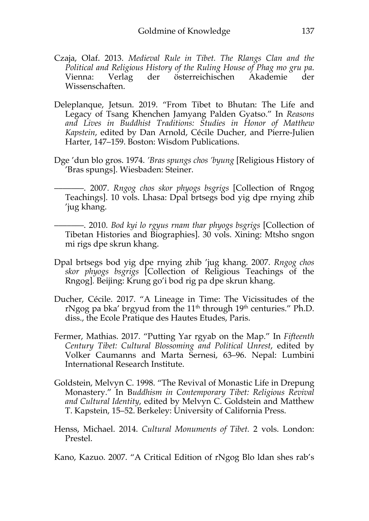- Czaja, Olaf. 2013. *Medieval Rule in Tibet. The Rlangs Clan and the Political and Religious History of the Ruling House of Phag mo gru pa*. Vienna: Verlag der österreichischen Akademie der Wissenschaften.
- Deleplanque, Jetsun. 2019. "From Tibet to Bhutan: The Life and Legacy of Tsang Khenchen Jamyang Palden Gyatso." In *Reasons and Lives in Buddhist Traditions: Studies in Honor of Matthew Kapstein*, edited by Dan Arnold, Cécile Ducher, and Pierre-Julien Harter, 147–159. Boston: Wisdom Publications.
- Dge 'dun blo gros. 1974. *'Bras spungs chos 'byung* [Religious History of 'Bras spungs]. Wiesbaden: Steiner.
	- –––––––. 2007. *Rngog chos skor phyogs bsgrigs* [Collection of Rngog Teachings]. 10 vols. Lhasa: Dpal brtsegs bod yig dpe rnying zhib 'jug khang.
	- –––––––. 2010. *Bod kyi lo rgyus rnam thar phyogs bsgrigs* [Collection of Tibetan Histories and Biographies]. 30 vols. Xining: Mtsho sngon mi rigs dpe skrun khang.
- Dpal brtsegs bod yig dpe rnying zhib 'jug khang*.* 2007. *Rngog chos skor phyogs bsgrigs* [Collection of Religious Teachings of the Rngog]*.* Beijing: Krung go'i bod rig pa dpe skrun khang.
- Ducher, Cécile. 2017. "A Lineage in Time: The Vicissitudes of the rNgog pa bka' brgyud from the  $11<sup>th</sup>$  through  $19<sup>th</sup>$  centuries." Ph.D. diss., the Ecole Pratique des Hautes Etudes, Paris.
- Fermer, Mathias. 2017. "Putting Yar rgyab on the Map." In *Fifteenth Century Tibet: Cultural Blossoming and Political Unrest*, edited by Volker Caumanns and Marta Sernesi, 63–96. Nepal: Lumbini International Research Institute.
- Goldstein, Melvyn C. 1998. "The Revival of Monastic Life in Drepung Monastery." In B*uddhism in Contemporary Tibet: Religious Revival and Cultural Identity*, edited by Melvyn C. Goldstein and Matthew T. Kapstein, 15–52. Berkeley: University of California Press.
- Henss, Michael. 2014. *Cultural Monuments of Tibet.* 2 vols. London: Prestel.

Kano, Kazuo. 2007. "A Critical Edition of rNgog Blo ldan shes rab's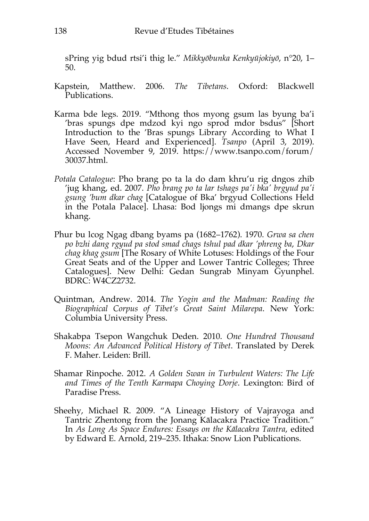sPring yig bdud rtsi'i thig le." *Mikkyōbunka Kenkyūjokiyō*, n°20, 1– 50.

- Kapstein, Matthew. 2006. *The Tibetans*. Oxford: Blackwell Publications.
- Karma bde legs. 2019. "Mthong thos myong gsum las byung ba'i 'bras spungs dpe mdzod kyi ngo sprod mdor bsdus" [Short Introduction to the 'Bras spungs Library According to What I Have Seen, Heard and Experienced]. *Tsanpo* (April 3, 2019). Accessed November 9, 2019. https://www.tsanpo.com/forum/ 30037.html.
- *Potala Catalogue*: Pho brang po ta la do dam khru'u rig dngos zhib 'jug khang, ed. 2007. *Pho brang po ta lar tshags pa'i bka' brgyud pa'i gsung 'bum dkar chag* [Catalogue of Bka' brgyud Collections Held in the Potala Palace]. Lhasa: Bod ljongs mi dmangs dpe skrun khang.
- Phur bu lcog Ngag dbang byams pa (1682–1762). 1970. *Grwa sa chen po bzhi dang rgyud pa stod smad chags tshul pad dkar 'phreng ba*, *Dkar chag khag gsum* [The Rosary of White Lotuses: Holdings of the Four Great Seats and of the Upper and Lower Tantric Colleges; Three Catalogues]. New Delhi: Gedan Sungrab Minyam Gyunphel. BDRC: W4CZ2732.
- Quintman, Andrew. 2014. *The Yogin and the Madman: Reading the Biographical Corpus of Tibet's Great Saint Milarepa*. New York: Columbia University Press.
- Shakabpa Tsepon Wangchuk Deden. 2010. *One Hundred Thousand Moons: An Advanced Political History of Tibet*. Translated by Derek F. Maher. Leiden: Brill.
- Shamar Rinpoche. 2012. *A Golden Swan in Turbulent Waters: The Life and Times of the Tenth Karmapa Choying Dorje*. Lexington: Bird of Paradise Press.
- Sheehy, Michael R. 2009. "A Lineage History of Vajrayoga and Tantric Zhentong from the Jonang Kālacakra Practice Tradition." In *As Long As Space Endures: Essays on the Kālacakra Tantra*, edited by Edward E. Arnold, 219–235. Ithaka: Snow Lion Publications.